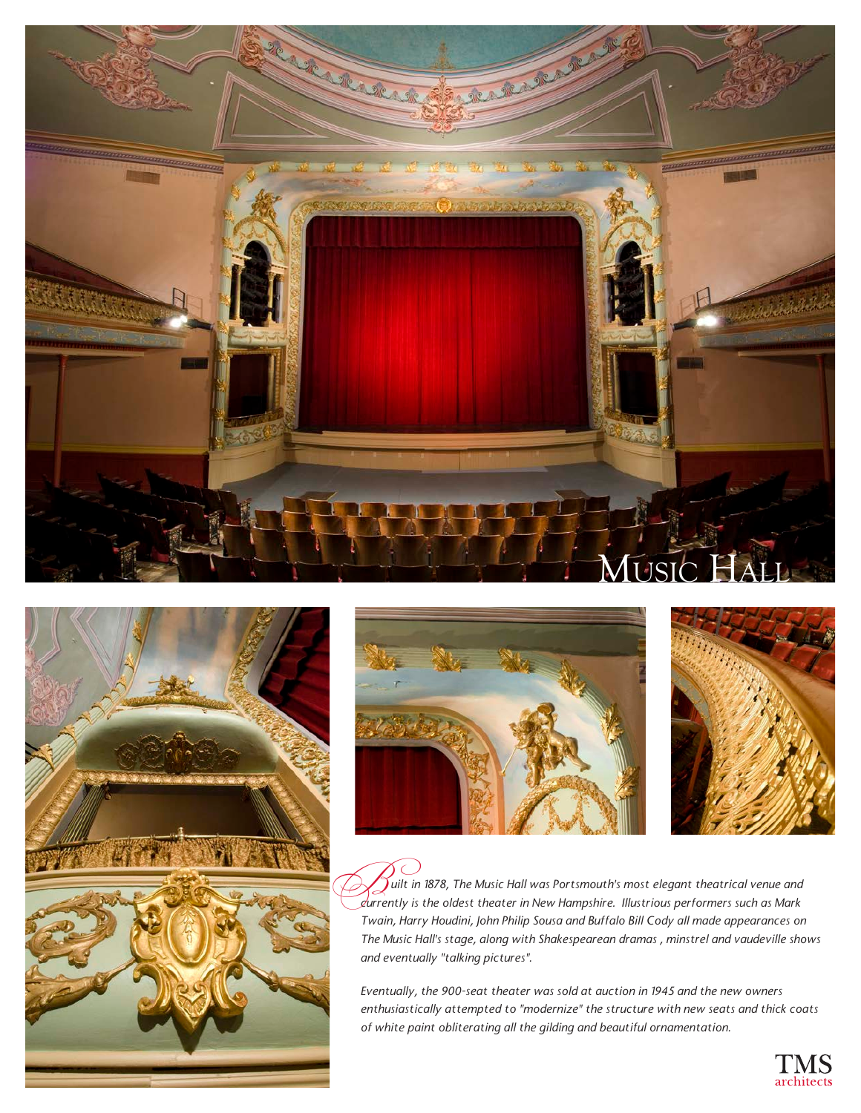







 $\widetilde{J}$ uilt in 1878, The Music Hall was Portsmouth's most elegant theatrical venue and *cuilt in 1878, The Music Hall was Portsmouth's most elegant theatrical venue and*<br>Caurrently is the oldest theater in New Hampshire. Illustrious performers such as Mark *Twain, Harry Houdini, John Philip Sousa and Buffalo Bill Cody all made appearances on The Music Hall's stage, along with Shakespearean dramas , minstrel and vaudeville shows and eventually "talking pictures".* 

*Eventually, the 900-seat theater was sold at auction in 1945 and the new owners enthusiastically attempted to "modernize" the structure with new seats and thick coats of white paint obliterating all the gilding and beautiful ornamentation.*